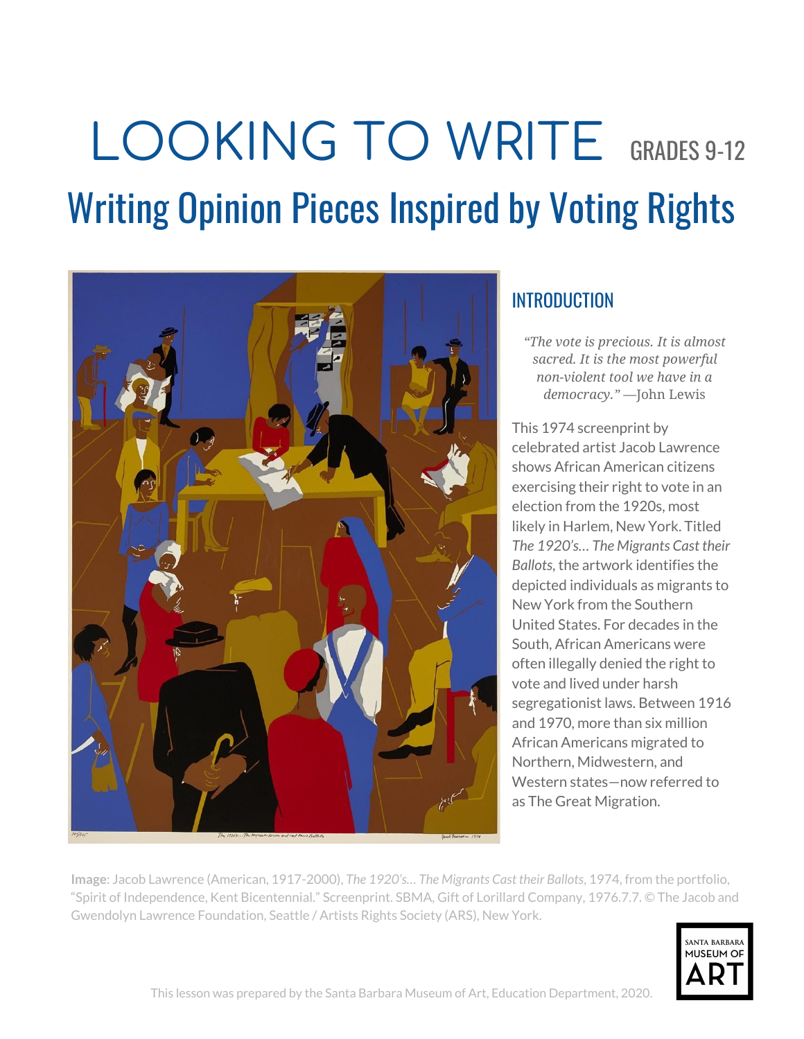# LOOKING TO WRITE GRADES 9-12 Writing Opinion Pieces Inspired by Voting Rights



#### INTRODUCTION

*"The vote is precious. It is almost sacred. It is the most powerful non-violent tool we have in a democracy."* —John Lewis

This 1974 screenprint by celebrated artist Jacob Lawrence shows African American citizens exercising their right to vote in an election from the 1920s, most likely in Harlem, New York. Titled *The 1920's… The Migrants Cast their Ballots*, the artwork identifies the depicted individuals as migrants to New York from the Southern United States. For decades in the South, African Americans were often illegally denied the right to vote and lived under harsh segregationist laws. Between 1916 and 1970, more than six million African Americans migrated to Northern, Midwestern, and Western states—now referred to as The Great Migration.

**Image**: Jacob Lawrence (American, 1917-2000), *The 1920's… The Migrants Cast their Ballots*, 1974, from the portfolio, "Spirit of Independence, Kent Bicentennial." Screenprint. SBMA, Gift of Lorillard Company, 1976.7.7. © The Jacob and Gwendolyn Lawrence Foundation, Seattle / Artists Rights Society (ARS), New York.

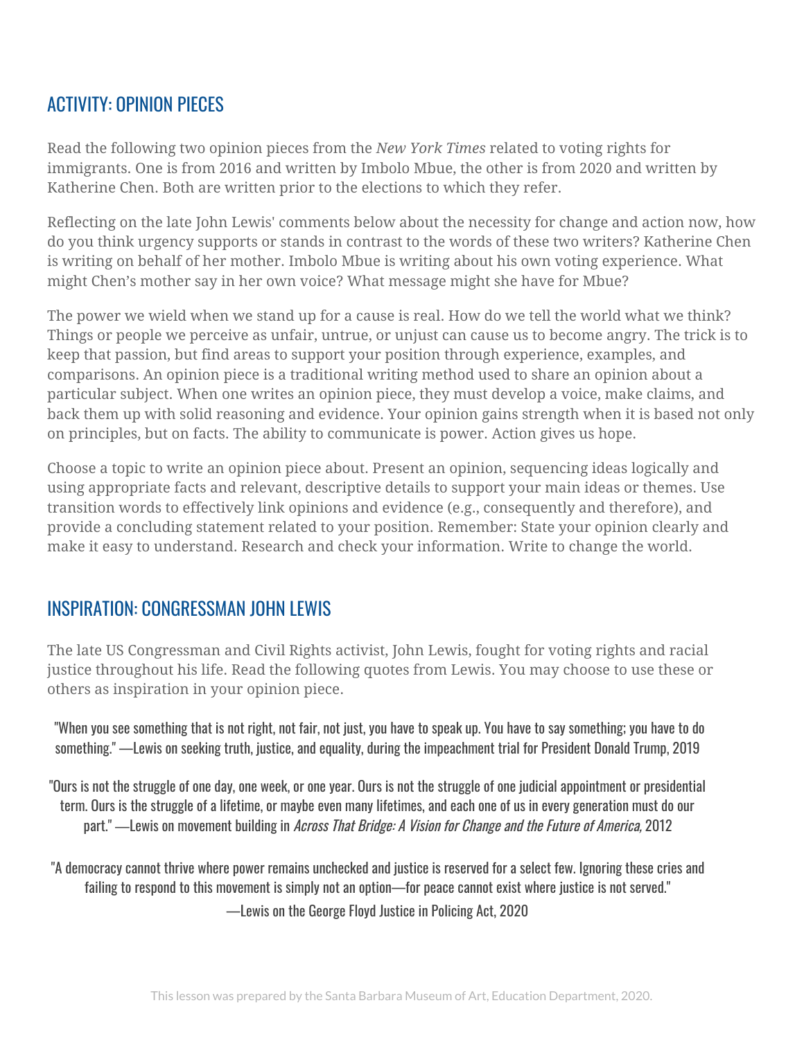### ACTIVITY: OPINION PIECES

Read the following two opinion pieces from the *New York Times* related to voting rights for immigrants. One is from 2016 and written by Imbolo Mbue, the other is from 2020 and written by Katherine Chen. Both are written prior to the elections to which they refer.

Reflecting on the late John Lewis' comments below about the necessity for change and action now, how do you think urgency supports or stands in contrast to the words of these two writers? Katherine Chen is writing on behalf of her mother. Imbolo Mbue is writing about his own voting experience. What might Chen's mother say in her own voice? What message might she have for Mbue?

The power we wield when we stand up for a cause is real. How do we tell the world what we think? Things or people we perceive as unfair, untrue, or unjust can cause us to become angry. The trick is to keep that passion, but find areas to support your position through experience, examples, and comparisons. An opinion piece is a traditional writing method used to share an opinion about a particular subject. When one writes an opinion piece, they must develop a voice, make claims, and back them up with solid reasoning and evidence. Your opinion gains strength when it is based not only on principles, but on facts. The ability to communicate is power. Action gives us hope.

Choose a topic to write an opinion piece about. Present an opinion, sequencing ideas logically and using appropriate facts and relevant, descriptive details to support your main ideas or themes. Use transition words to effectively link opinions and evidence (e.g., consequently and therefore), and provide a concluding statement related to your position. Remember: State your opinion clearly and make it easy to understand. Research and check your information. Write to change the world.

#### INSPIRATION: CONGRESSMAN JOHN LEWIS

The late US Congressman and Civil Rights activist, John Lewis, fought for voting rights and racial justice throughout his life. Read the following quotes from Lewis. You may choose to use these or others as inspiration in your opinion piece.

"When you see something that is not right, not fair, not just, you have to speak up. You have to say something; you have to do something." —Lewis on seeking truth, justice, and equality, during the impeachment trial for President Donald Trump, 2019

"Ours is not the struggle of one day, one week, or one year. Ours is not the struggle of one judicial appointment or presidential term. Ours is the struggle of a lifetime, or maybe even many lifetimes, and each one of us in every generation must do our part." — Lewis on movement building in Across That Bridge: A Vision for Change and the Future of America, 2012

"A democracy cannot thrive where power remains unchecked and justice is reserved for a select few. Ignoring these cries and failing to respond to this movement is simply not an option—for peace cannot exist where justice is not served." —Lewis on the George Floyd Justice in Policing Act, 2020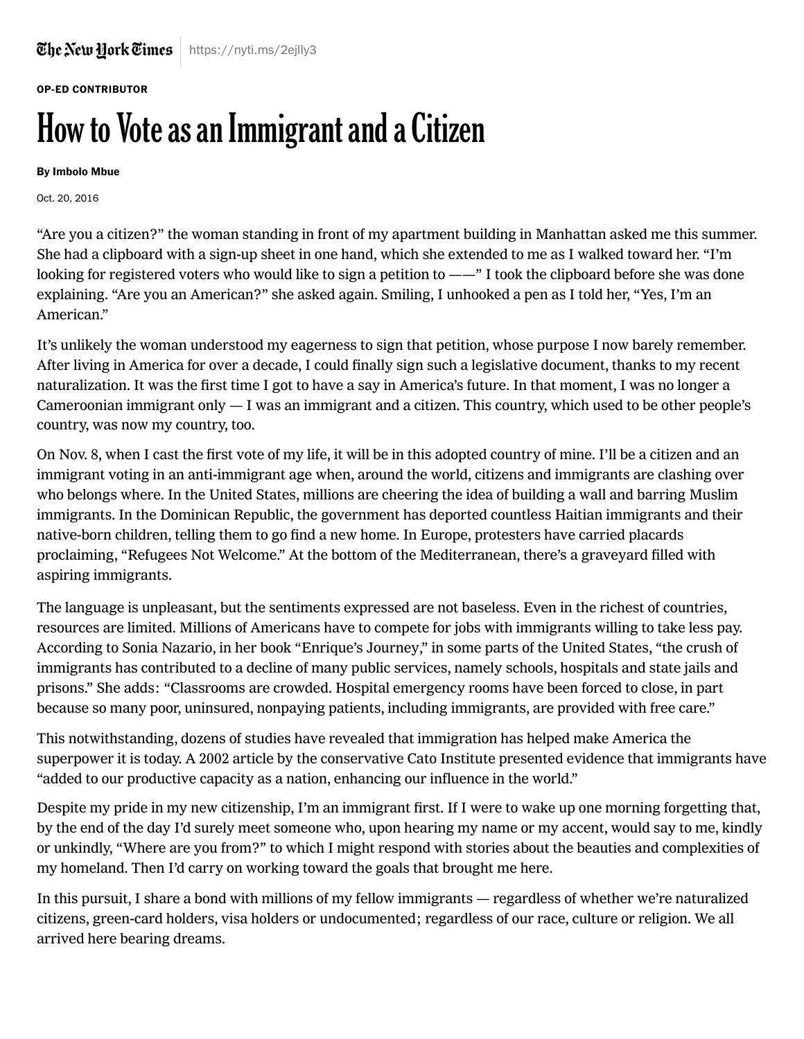OP-ED CONTRIBUTOR

## How to Vote as an Immigrant and a Citizen

By Imbolo Mbue

Oct. 20, 2016

"Are you a citizen?" the woman standing in front of my apartment building in Manhattan asked me this summer. She had a clipboard with a sign-up sheet in one hand, which she extended to me as I walked toward her. "I'm looking for registered voters who would like to sign a petition to  $--$ " I took the clipboard before she was done explaining. "Are you an American?" she asked again. Smiling, I unhooked a pen as I told her, "Yes, I'm an American."

It's unlikely the woman understood my eagerness to sign that petition, whose purpose I now barely remember. After living in America for over a decade, I could finally sign such a legislative document, thanks to my recent naturalization. It was the first time I got to have a say in America's future. In that moment, I was no longer a Cameroonian immigrant only  $-1$  was an immigrant and a citizen. This country, which used to be other people's country, was now my country, too.

On Nov. 8, when I cast the first vote of my life, it will be in this adopted country of mine. I'll be a citizen and an immigrant voting in an anti-immigrant age when, around the world, citizens and immigrants are clashing over who belongs where. In the United States, millions are cheering the idea of building a wall and barring Muslim immigrants. In the Dominican Republic, [the government has deported](http://www.nytimes.com/2016/01/17/magazine/haitians-in-exile-in-the-dominican-republic.html) countless Haitian immigrants and their native-born children, telling them to go find a new home. In Europe, protesters have carried placards proclaiming, "Refugees Not Welcome." At the bottom of the Mediterranean, there's a graveyard filled with aspiring immigrants.

The language is unpleasant, but the sentiments expressed are not baseless. Even in the richest of countries, resources are limited. Millions of Americans have to compete for jobs with immigrants willing to take less pay. According to Sonia Nazario, in her book "[Enrique's Journey](http://www.enriquesjourney.com/)," in some parts of the United States, "the crush of immigrants has contributed to a decline of many public services, namely schools, hospitals and state jails and prisons." She adds: "Classrooms are crowded. Hospital emergency rooms have been forced to close, in part because so many poor, uninsured, nonpaying patients, including immigrants, are provided with free care."

This notwithstanding, dozens of studies have revealed that immigration has helped make America the superpower it is today. [A 2002 article](http://www.cato.org/publications/commentary/immigrants-have-enriched-american-culture-enhanced-our-influence-world) by the conservative Cato Institute presented evidence that immigrants have "added to our productive capacity as a nation, enhancing our influence in the world."

Despite my pride in my new citizenship, I'm an immigrant first. If I were to wake up one morning forgetting that, by the end of the day I'd surely meet someone who, upon hearing my name or my accent, would say to me, kindly or unkindly, "Where are you from?" to which I might respond with stories about the beauties and complexities of my homeland. Then I'd carry on working toward the goals that brought me here.

In this pursuit, I share a bond with millions of my fellow immigrants — regardless of whether we're naturalized citizens, green-card holders, visa holders or undocumented; regardless of our race, culture or religion. We all arrived here bearing dreams.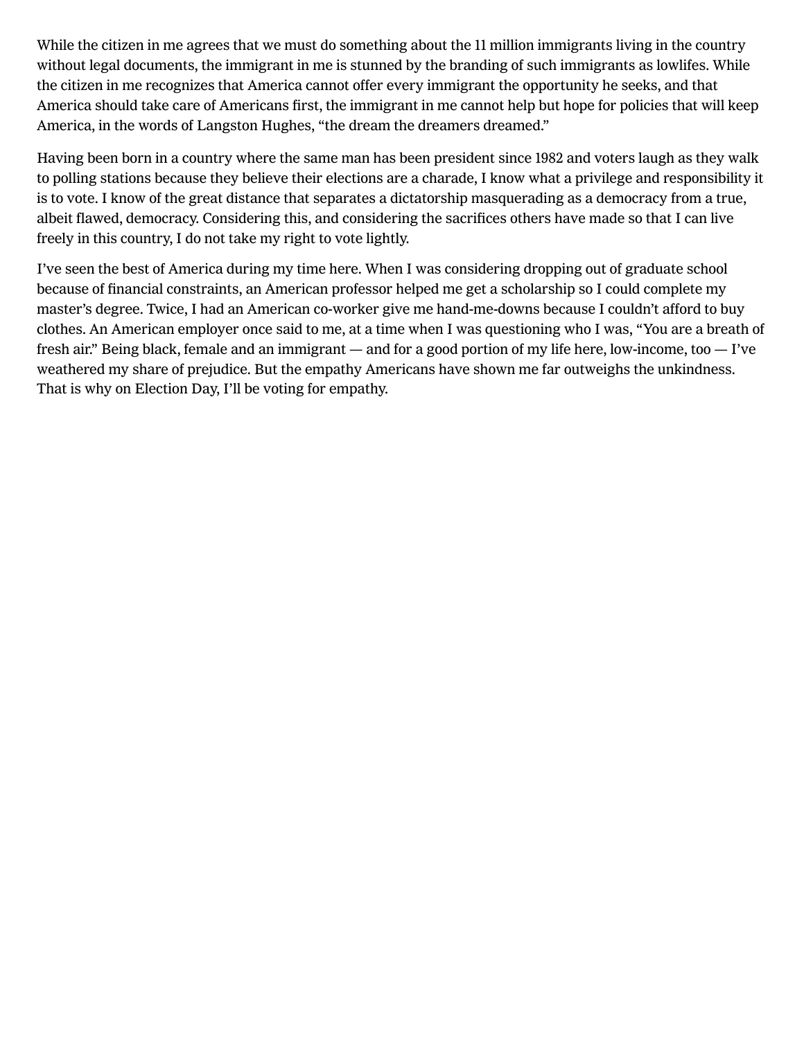While the citizen in me agrees that we must do something about the 11 million immigrants living in the country without legal documents, the immigrant in me is stunned by the branding of such immigrants as lowlifes. While the citizen in me recognizes that America cannot offer every immigrant the opportunity he seeks, and that America should take care of Americans first, the immigrant in me cannot help but hope for policies that will keep America, in the words of Langston Hughes, ["the dream the dreamers dreamed.](https://www.poets.org/poetsorg/poem/let-america-be-america-again)"

Having been born in a country where the same man has been president since 1982 and voters laugh as they walk to polling stations because they believe their elections are a charade, I know what a privilege and responsibility it is to vote. I know of the great distance that separates a dictatorship masquerading as a democracy from a true, albeit flawed, democracy. Considering this, and considering the sacrifices others have made so that I can live freely in this country, I do not take my right to vote lightly.

I've seen the best of America during my time here. When I was considering dropping out of graduate school because of financial constraints, an American professor helped me get a scholarship so I could complete my master's degree. Twice, I had an American co-worker give me hand-me-downs because I couldn't afford to buy clothes. An American employer once said to me, at a time when I was questioning who I was, "You are a breath of fresh air." Being black, female and an immigrant — and for a good portion of my life here, low-income, too — I've weathered my share of prejudice. But the empathy Americans have shown me far outweighs the unkindness. That is why on Election Day, I'll be voting for empathy.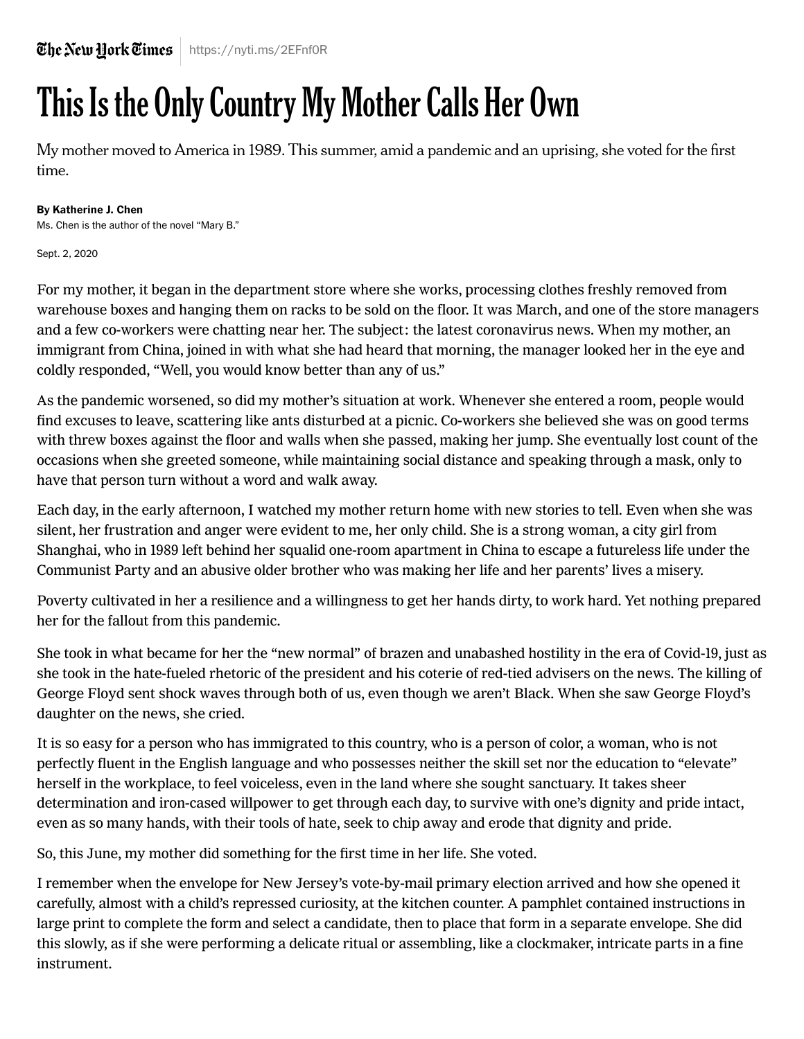## This Is the Only Country My Mother Calls Her Own

My mother moved to America in 1989. This summer, amid a pandemic and an uprising, she voted for the first time.

#### By Katherine J. Chen

Ms. Chen is the author of the novel "Mary B."

Sept. 2, 2020

For my mother, it began in the department store where she works, processing clothes freshly removed from warehouse boxes and hanging them on racks to be sold on the floor. It was March, and one of the store managers and a few co-workers were chatting near her. The subject: the latest coronavirus news. When my mother, an immigrant from China, joined in with what she had heard that morning, the manager looked her in the eye and coldly responded, "Well, you would know better than any of us."

As the pandemic worsened, so did my mother's situation at work. Whenever she entered a room, people would find excuses to leave, scattering like ants disturbed at a picnic. Co-workers she believed she was on good terms with threw boxes against the floor and walls when she passed, making her jump. She eventually lost count of the occasions when she greeted someone, while maintaining social distance and speaking through a mask, only to have that person turn without a word and walk away.

Each day, in the early afternoon, I watched my mother return home with new stories to tell. Even when she was silent, her frustration and anger were evident to me, her only child. She is a strong woman, a city girl from Shanghai, who in 1989 left behind her squalid one-room apartment in China to escape a futureless life under the Communist Party and an abusive older brother who was making her life and her parents' lives a misery.

Poverty cultivated in her a resilience and a willingness to get her hands dirty, to work hard. Yet nothing prepared her for the fallout from this pandemic.

She took in what became for her the "new normal" of brazen and unabashed hostility in the era of Covid-19, just as she took in the hate-fueled rhetoric of the president and his coterie of red-tied advisers on the news. The killing of George Floyd sent shock waves through both of us, even though we aren't Black. When she saw George Floyd's daughter on the news, she cried.

It is so easy for a person who has immigrated to this country, who is a person of color, a woman, who is not perfectly fluent in the English language and who possesses neither the skill set nor the education to "elevate" herself in the workplace, to feel voiceless, even in the land where she sought sanctuary. It takes sheer determination and iron-cased willpower to get through each day, to survive with one's dignity and pride intact, even as so many hands, with their tools of hate, seek to chip away and erode that dignity and pride.

So, this June, my mother did something for the first time in her life. She voted.

I remember when the envelope for New Jersey's vote-by-mail primary election arrived and how she opened it carefully, almost with a child's repressed curiosity, at the kitchen counter. A pamphlet contained instructions in large print to complete the form and select a candidate, then to place that form in a separate envelope. She did this slowly, as if she were performing a delicate ritual or assembling, like a clockmaker, intricate parts in a fine instrument.